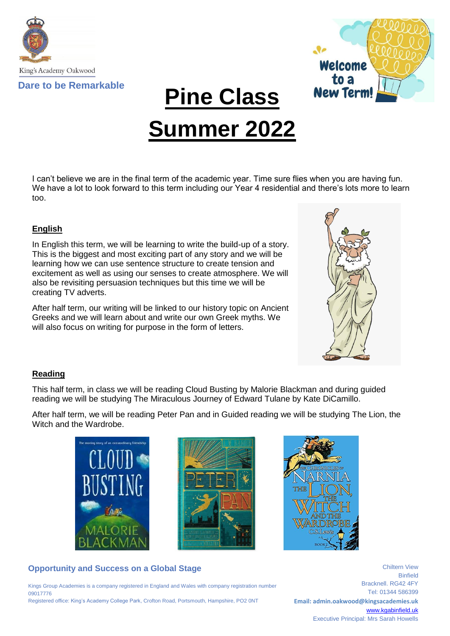



**Pine Class**

# **Summer 2022**

I can't believe we are in the final term of the academic year. Time sure flies when you are having fun. We have a lot to look forward to this term including our Year 4 residential and there's lots more to learn too.

## **English**

In English this term, we will be learning to write the build-up of a story. This is the biggest and most exciting part of any story and we will be learning how we can use sentence structure to create tension and excitement as well as using our senses to create atmosphere. We will also be revisiting persuasion techniques but this time we will be creating TV adverts.

After half term, our writing will be linked to our history topic on Ancient Greeks and we will learn about and write our own Greek myths. We will also focus on writing for purpose in the form of letters.



## **Reading**

This half term, in class we will be reading Cloud Busting by Malorie Blackman and during guided reading we will be studying The Miraculous Journey of Edward Tulane by Kate DiCamillo.

After half term, we will be reading Peter Pan and in Guided reading we will be studying The Lion, the Witch and the Wardrobe.







# **Opportunity and Success on a Global Stage**

Kings Group Academies is a company registered in England and Wales with company registration number 09017776 Registered office: King's Academy College Park, Crofton Road, Portsmouth, Hampshire, PO2 0NT

Binfield Bracknell. RG42 4FY Tel: 01344 586399 **Email: admin.oakwood@kingsacademies.uk** [www.kgabinfield.uk](http://www.kgabinfield.uk/) Executive Principal: Mrs Sarah Howells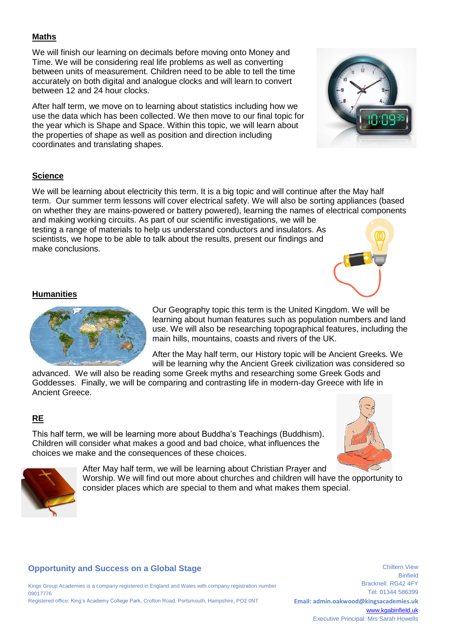#### **Maths**

We will finish our learning on decimals before moving onto Money and Time. We will be considering real life problems as well as converting between units of measurement. Children need to be able to tell the time accurately on both digital and analogue clocks and will learn to convert between 12 and 24 hour clocks.

After half term, we move on to learning about statistics including how we use the data which has been collected. We then move to our final topic for the year which is Shape and Space. Within this topic, we will learn about the properties of shape as well as position and direction including coordinates and translating shapes.



#### **Science**

We will be learning about electricity this term. It is a big topic and will continue after the May half term. Our summer term lessons will cover electrical safety. We will also be sorting appliances (based on whether they are mains-powered or battery powered), learning the names of electrical components and making working circuits. As part of our scientific investigations, we will be testing a range of materials to help us understand conductors and insulators. As scientists, we hope to be able to talk about the results, present our findings and make conclusions.



#### **Humanities**



Our Geography topic this term is the United Kingdom. We will be learning about human features such as population numbers and land use. We will also be researching topographical features, including the main hills, mountains, coasts and rivers of the UK.

After the May half term, our History topic will be Ancient Greeks. We will be learning why the Ancient Greek civilization was considered so

advanced. We will also be reading some Greek myths and researching some Greek Gods and Goddesses. Finally, we will be comparing and contrasting life in modern-day Greece with life in Ancient Greece.

#### **RE**

This half term, we will be learning more about Buddha's Teachings (Buddhism). Children will consider what makes a good and bad choice, what influences the choices we make and the consequences of these choices.





After May half term, we will be learning about Christian Prayer and Worship. We will find out more about churches and children will have the opportunity to consider places which are special to them and what makes them special.

#### **Opportunity and Success on a Global Stage**

Kings Group Academies is a company registered in England and Wales with company registration number 09017776 Registered office: King's Academy College Park, Crofton Road, Portsmouth, Hampshire, PO2 0NT

Binfield Bracknell. RG42 4FY Tel: 01344 586399 **Email: admin.oakwood@kingsacademies.uk** [www.kgabinfield.uk](http://www.kgabinfield.uk/) Executive Principal: Mrs Sarah Howells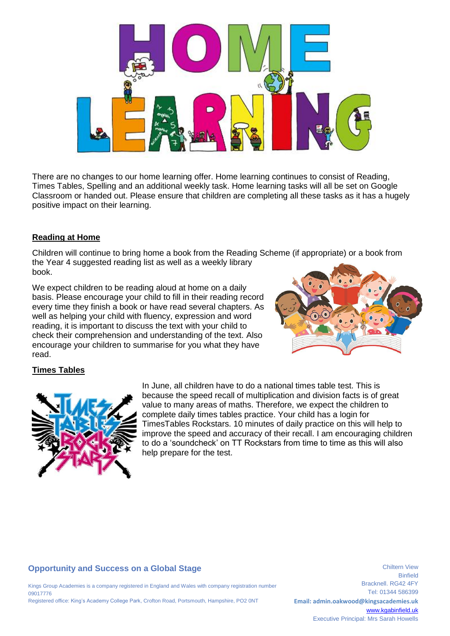

There are no changes to our home learning offer. Home learning continues to consist of Reading, Times Tables, Spelling and an additional weekly task. Home learning tasks will all be set on Google Classroom or handed out. Please ensure that children are completing all these tasks as it has a hugely positive impact on their learning.

#### **Reading at Home**

Children will continue to bring home a book from the Reading Scheme (if appropriate) or a book from the Year 4 suggested reading list as well as a weekly library book.

We expect children to be reading aloud at home on a daily basis. Please encourage your child to fill in their reading record every time they finish a book or have read several chapters. As well as helping your child with fluency, expression and word reading, it is important to discuss the text with your child to check their comprehension and understanding of the text. Also encourage your children to summarise for you what they have read.



## **Times Tables**



In June, all children have to do a national times table test. This is because the speed recall of multiplication and division facts is of great value to many areas of maths. Therefore, we expect the children to complete daily times tables practice. Your child has a login for TimesTables Rockstars. 10 minutes of daily practice on this will help to improve the speed and accuracy of their recall. I am encouraging children to do a 'soundcheck' on TT Rockstars from time to time as this will also help prepare for the test.

## **Opportunity and Success on a Global Stage**

Kings Group Academies is a company registered in England and Wales with company registration number 09017776 Registered office: King's Academy College Park, Crofton Road, Portsmouth, Hampshire, PO2 0NT

Binfield Bracknell. RG42 4FY Tel: 01344 586399 **Email: admin.oakwood@kingsacademies.uk** [www.kgabinfield.uk](http://www.kgabinfield.uk/) Executive Principal: Mrs Sarah Howells